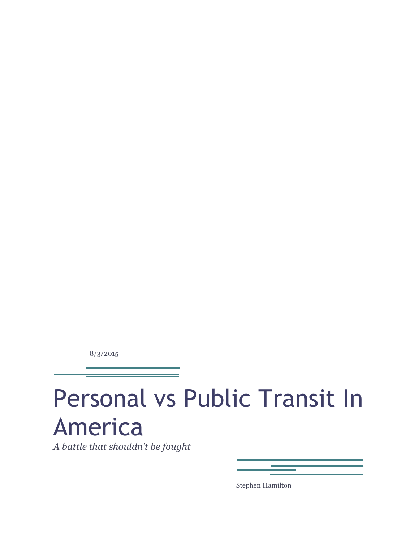8/3/2015

# Personal vs Public Transit In America

*A battle that shouldn't be fought*

Stephen Hamilton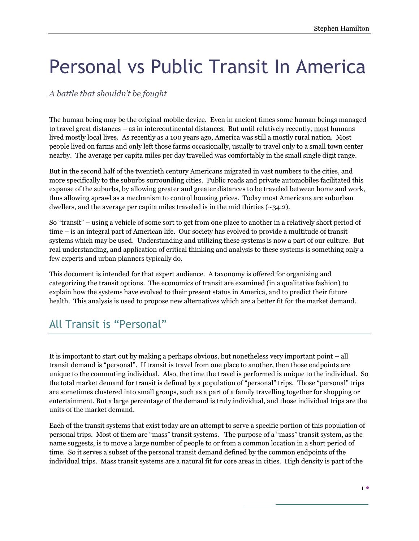# Personal vs Public Transit In America

#### *A battle that shouldn't be fought*

The human being may be the original mobile device. Even in ancient times some human beings managed to travel great distances – as in intercontinental distances. But until relatively recently, most humans lived mostly local lives. As recently as a 100 years ago, America was still a mostly rural nation. Most people lived on farms and only left those farms occasionally, usually to travel only to a small town center nearby. The average per capita miles per day travelled was comfortably in the small single digit range.

But in the second half of the twentieth century Americans migrated in vast numbers to the cities, and more specifically to the suburbs surrounding cities. Public roads and private automobiles facilitated this expanse of the suburbs, by allowing greater and greater distances to be traveled between home and work, thus allowing sprawl as a mechanism to control housing prices. Today most Americans are suburban dwellers, and the average per capita miles traveled is in the mid thirties  $(\sim 34.2)$ .

So "transit" – using a vehicle of some sort to get from one place to another in a relatively short period of time – is an integral part of American life. Our society has evolved to provide a multitude of transit systems which may be used. Understanding and utilizing these systems is now a part of our culture. But real understanding, and application of critical thinking and analysis to these systems is something only a few experts and urban planners typically do.

This document is intended for that expert audience. A taxonomy is offered for organizing and categorizing the transit options. The economics of transit are examined (in a qualitative fashion) to explain how the systems have evolved to their present status in America, and to predict their future health. This analysis is used to propose new alternatives which are a better fit for the market demand.

### All Transit is "Personal"

It is important to start out by making a perhaps obvious, but nonetheless very important point – all transit demand is "personal". If transit is travel from one place to another, then those endpoints are unique to the commuting individual. Also, the time the travel is performed is unique to the individual. So the total market demand for transit is defined by a population of "personal" trips. Those "personal" trips are sometimes clustered into small groups, such as a part of a family travelling together for shopping or entertainment. But a large percentage of the demand is truly individual, and those individual trips are the units of the market demand.

Each of the transit systems that exist today are an attempt to serve a specific portion of this population of personal trips. Most of them are "mass" transit systems. The purpose of a "mass" transit system, as the name suggests, is to move a large number of people to or from a common location in a short period of time. So it serves a subset of the personal transit demand defined by the common endpoints of the individual trips. Mass transit systems are a natural fit for core areas in cities. High density is part of the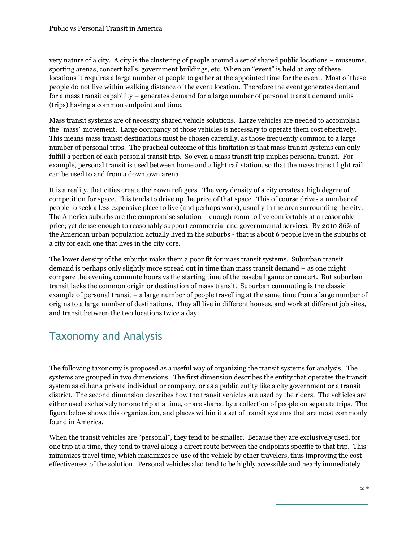very nature of a city. A city is the clustering of people around a set of shared public locations – museums, sporting arenas, concert halls, government buildings, etc. When an "event" is held at any of these locations it requires a large number of people to gather at the appointed time for the event. Most of these people do not live within walking distance of the event location. Therefore the event generates demand for a mass transit capability – generates demand for a large number of personal transit demand units (trips) having a common endpoint and time.

Mass transit systems are of necessity shared vehicle solutions. Large vehicles are needed to accomplish the "mass" movement. Large occupancy of those vehicles is necessary to operate them cost effectively. This means mass transit destinations must be chosen carefully, as those frequently common to a large number of personal trips. The practical outcome of this limitation is that mass transit systems can only fulfill a portion of each personal transit trip. So even a mass transit trip implies personal transit. For example, personal transit is used between home and a light rail station, so that the mass transit light rail can be used to and from a downtown arena.

It is a reality, that cities create their own refugees. The very density of a city creates a high degree of competition for space. This tends to drive up the price of that space. This of course drives a number of people to seek a less expensive place to live (and perhaps work), usually in the area surrounding the city. The America suburbs are the compromise solution – enough room to live comfortably at a reasonable price; yet dense enough to reasonably support commercial and governmental services. By 2010 86% of the American urban population actually lived in the suburbs - that is about 6 people live in the suburbs of a city for each one that lives in the city core.

The lower density of the suburbs make them a poor fit for mass transit systems. Suburban transit demand is perhaps only slightly more spread out in time than mass transit demand – as one might compare the evening commute hours vs the starting time of the baseball game or concert. But suburban transit lacks the common origin or destination of mass transit. Suburban commuting is the classic example of personal transit – a large number of people travelling at the same time from a large number of origins to a large number of destinations. They all live in different houses, and work at different job sites, and transit between the two locations twice a day.

## Taxonomy and Analysis

The following taxonomy is proposed as a useful way of organizing the transit systems for analysis. The systems are grouped in two dimensions. The first dimension describes the entity that operates the transit system as either a private individual or company, or as a public entity like a city government or a transit district. The second dimension describes how the transit vehicles are used by the riders. The vehicles are either used exclusively for one trip at a time, or are shared by a collection of people on separate trips. The figure below shows this organization, and places within it a set of transit systems that are most commonly found in America.

When the transit vehicles are "personal", they tend to be smaller. Because they are exclusively used, for one trip at a time, they tend to travel along a direct route between the endpoints specific to that trip. This minimizes travel time, which maximizes re-use of the vehicle by other travelers, thus improving the cost effectiveness of the solution. Personal vehicles also tend to be highly accessible and nearly immediately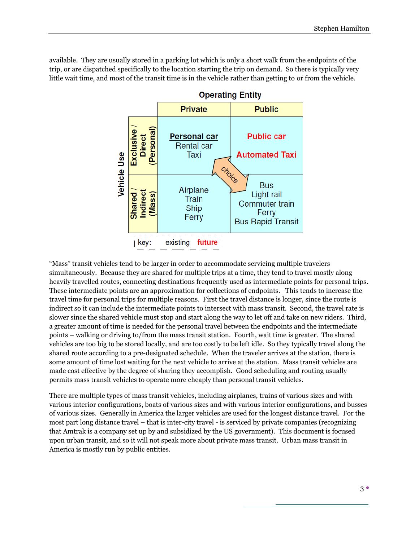available. They are usually stored in a parking lot which is only a short walk from the endpoints of the trip, or are dispatched specifically to the location starting the trip on demand. So there is typically very little wait time, and most of the transit time is in the vehicle rather than getting to or from the vehicle.



"Mass" transit vehicles tend to be larger in order to accommodate servicing multiple travelers simultaneously. Because they are shared for multiple trips at a time, they tend to travel mostly along heavily travelled routes, connecting destinations frequently used as intermediate points for personal trips. These intermediate points are an approximation for collections of endpoints. This tends to increase the travel time for personal trips for multiple reasons. First the travel distance is longer, since the route is indirect so it can include the intermediate points to intersect with mass transit. Second, the travel rate is slower since the shared vehicle must stop and start along the way to let off and take on new riders. Third, a greater amount of time is needed for the personal travel between the endpoints and the intermediate points – walking or driving to/from the mass transit station. Fourth, wait time is greater. The shared vehicles are too big to be stored locally, and are too costly to be left idle. So they typically travel along the shared route according to a pre-designated schedule. When the traveler arrives at the station, there is some amount of time lost waiting for the next vehicle to arrive at the station. Mass transit vehicles are made cost effective by the degree of sharing they accomplish. Good scheduling and routing usually permits mass transit vehicles to operate more cheaply than personal transit vehicles.

There are multiple types of mass transit vehicles, including airplanes, trains of various sizes and with various interior configurations, boats of various sizes and with various interior configurations, and busses of various sizes. Generally in America the larger vehicles are used for the longest distance travel. For the most part long distance travel – that is inter-city travel - is serviced by private companies (recognizing that Amtrak is a company set up by and subsidized by the US government). This document is focused upon urban transit, and so it will not speak more about private mass transit. Urban mass transit in America is mostly run by public entities.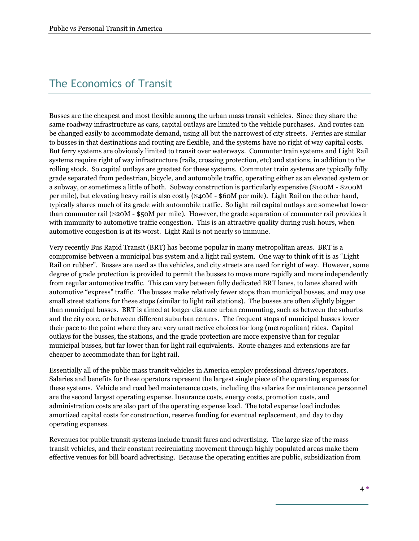### The Economics of Transit

Busses are the cheapest and most flexible among the urban mass transit vehicles. Since they share the same roadway infrastructure as cars, capital outlays are limited to the vehicle purchases. And routes can be changed easily to accommodate demand, using all but the narrowest of city streets. Ferries are similar to busses in that destinations and routing are flexible, and the systems have no right of way capital costs. But ferry systems are obviously limited to transit over waterways. Commuter train systems and Light Rail systems require right of way infrastructure (rails, crossing protection, etc) and stations, in addition to the rolling stock. So capital outlays are greatest for these systems. Commuter train systems are typically fully grade separated from pedestrian, bicycle, and automobile traffic, operating either as an elevated system or a subway, or sometimes a little of both. Subway construction is particularly expensive (\$100M - \$200M per mile), but elevating heavy rail is also costly (\$40M - \$60M per mile). Light Rail on the other hand, typically shares much of its grade with automobile traffic. So light rail capital outlays are somewhat lower than commuter rail (\$20M - \$50M per mile). However, the grade separation of commuter rail provides it with immunity to automotive traffic congestion. This is an attractive quality during rush hours, when automotive congestion is at its worst. Light Rail is not nearly so immune.

Very recently Bus Rapid Transit (BRT) has become popular in many metropolitan areas. BRT is a compromise between a municipal bus system and a light rail system. One way to think of it is as "Light Rail on rubber". Busses are used as the vehicles, and city streets are used for right of way. However, some degree of grade protection is provided to permit the busses to move more rapidly and more independently from regular automotive traffic. This can vary between fully dedicated BRT lanes, to lanes shared with automotive "express" traffic. The busses make relatively fewer stops than municipal busses, and may use small street stations for these stops (similar to light rail stations). The busses are often slightly bigger than municipal busses. BRT is aimed at longer distance urban commuting, such as between the suburbs and the city core, or between different suburban centers. The frequent stops of municipal busses lower their pace to the point where they are very unattractive choices for long (metropolitan) rides. Capital outlays for the busses, the stations, and the grade protection are more expensive than for regular municipal busses, but far lower than for light rail equivalents. Route changes and extensions are far cheaper to accommodate than for light rail.

Essentially all of the public mass transit vehicles in America employ professional drivers/operators. Salaries and benefits for these operators represent the largest single piece of the operating expenses for these systems. Vehicle and road bed maintenance costs, including the salaries for maintenance personnel are the second largest operating expense. Insurance costs, energy costs, promotion costs, and administration costs are also part of the operating expense load. The total expense load includes amortized capital costs for construction, reserve funding for eventual replacement, and day to day operating expenses.

Revenues for public transit systems include transit fares and advertising. The large size of the mass transit vehicles, and their constant recirculating movement through highly populated areas make them effective venues for bill board advertising. Because the operating entities are public, subsidization from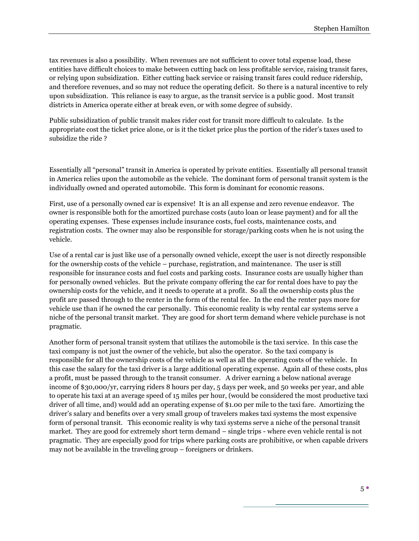tax revenues is also a possibility. When revenues are not sufficient to cover total expense load, these entities have difficult choices to make between cutting back on less profitable service, raising transit fares, or relying upon subsidization. Either cutting back service or raising transit fares could reduce ridership, and therefore revenues, and so may not reduce the operating deficit. So there is a natural incentive to rely upon subsidization. This reliance is easy to argue, as the transit service is a public good. Most transit districts in America operate either at break even, or with some degree of subsidy.

Public subsidization of public transit makes rider cost for transit more difficult to calculate. Is the appropriate cost the ticket price alone, or is it the ticket price plus the portion of the rider's taxes used to subsidize the ride ?

Essentially all "personal" transit in America is operated by private entities. Essentially all personal transit in America relies upon the automobile as the vehicle. The dominant form of personal transit system is the individually owned and operated automobile. This form is dominant for economic reasons.

First, use of a personally owned car is expensive! It is an all expense and zero revenue endeavor. The owner is responsible both for the amortized purchase costs (auto loan or lease payment) and for all the operating expenses. These expenses include insurance costs, fuel costs, maintenance costs, and registration costs. The owner may also be responsible for storage/parking costs when he is not using the vehicle.

Use of a rental car is just like use of a personally owned vehicle, except the user is not directly responsible for the ownership costs of the vehicle – purchase, registration, and maintenance. The user is still responsible for insurance costs and fuel costs and parking costs. Insurance costs are usually higher than for personally owned vehicles. But the private company offering the car for rental does have to pay the ownership costs for the vehicle, and it needs to operate at a profit. So all the ownership costs plus the profit are passed through to the renter in the form of the rental fee. In the end the renter pays more for vehicle use than if he owned the car personally. This economic reality is why rental car systems serve a niche of the personal transit market. They are good for short term demand where vehicle purchase is not pragmatic.

Another form of personal transit system that utilizes the automobile is the taxi service. In this case the taxi company is not just the owner of the vehicle, but also the operator. So the taxi company is responsible for all the ownership costs of the vehicle as well as all the operating costs of the vehicle. In this case the salary for the taxi driver is a large additional operating expense. Again all of these costs, plus a profit, must be passed through to the transit consumer. A driver earning a below national average income of \$30,000/yr, carrying riders 8 hours per day, 5 days per week, and 50 weeks per year, and able to operate his taxi at an average speed of 15 miles per hour, (would be considered the most productive taxi driver of all time, and) would add an operating expense of \$1.00 per mile to the taxi fare. Amortizing the driver's salary and benefits over a very small group of travelers makes taxi systems the most expensive form of personal transit. This economic reality is why taxi systems serve a niche of the personal transit market. They are good for extremely short term demand – single trips - where even vehicle rental is not pragmatic. They are especially good for trips where parking costs are prohibitive, or when capable drivers may not be available in the traveling group – foreigners or drinkers.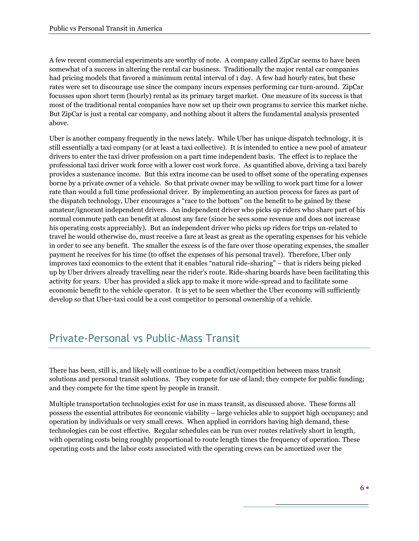A few recent commercial experiments are worthy of note. A company called ZipCar seems to have been somewhat of a success in altering the rental car business. Traditionally the major rental car companies had pricing models that favored a minimum rental interval of 1 day. A few had hourly rates, but these rates were set to discourage use since the company incurs expenses performing car turn-around. ZipCar focusses upon short term (hourly) rental as its primary target market. One measure of its success is that most of the traditional rental companies have now set up their own programs to service this market niche. But ZipCar is just a rental car company, and nothing about it alters the fundamental analysis presented above.

Uber is another company frequently in the news lately. While Uber has unique dispatch technology, it is still essentially a taxi company (or at least a taxi collective). It is intended to entice a new pool of amateur drivers to enter the taxi driver profession on a part time independent basis. The effect is to replace the professional taxi driver work force with a lower cost work force. As quantified above, driving a taxi barely provides a sustenance income. But this extra income can be used to offset some of the operating expenses borne by a private owner of a vehicle. So that private owner may be willing to work part time for a lower rate than would a full time professional driver. By implementing an auction process for fares as part of the dispatch technology, Uber encourages a "race to the bottom" on the benefit to be gained by these amateur/ignorant independent drivers. An independent driver who picks up riders who share part of his normal commute path can benefit at almost any fare (since he sees some revenue and does not increase his operating costs appreciably). But an independent driver who picks up riders for trips un-related to travel he would otherwise do, must receive a fare at least as great as the operating expenses for his vehicle in order to see any benefit. The smaller the excess is of the fare over those operating expenses, the smaller payment he receives for his time (to offset the expenses of his personal travel). Therefore, Uber only improves taxi economics to the extent that it enables "natural ride-sharing" – that is riders being picked up by Uber drivers already travelling near the rider's route. Ride-sharing boards have been facilitating this activity for years. Uber has provided a slick app to make it more wide-spread and to facilitate some economic benefit to the vehicle operator. It is yet to be seen whether the Uber economy will sufficiently develop so that Uber-taxi could be a cost competitor to personal ownership of a vehicle.

### Private-Personal vs Public-Mass Transit

There has been, still is, and likely will continue to be a conflict/competition between mass transit solutions and personal transit solutions. They compete for use of land; they compete for public funding; and they compete for the time spent by people in transit.

Multiple transportation technologies exist for use in mass transit, as discussed above. These forms all possess the essential attributes for economic viability – large vehicles able to support high occupancy; and operation by individuals or very small crews. When applied in corridors having high demand, these technologies can be cost effective. Regular schedules can be run over routes relatively short in length, with operating costs being roughly proportional to route length times the frequency of operation. These operating costs and the labor costs associated with the operating crews can be amortized over the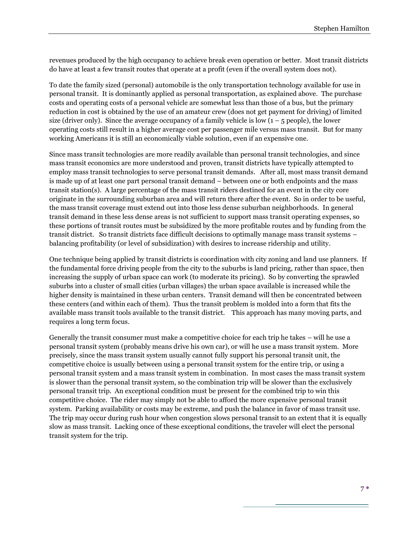revenues produced by the high occupancy to achieve break even operation or better. Most transit districts do have at least a few transit routes that operate at a profit (even if the overall system does not).

To date the family sized (personal) automobile is the only transportation technology available for use in personal transit. It is dominantly applied as personal transportation, as explained above. The purchase costs and operating costs of a personal vehicle are somewhat less than those of a bus, but the primary reduction in cost is obtained by the use of an amateur crew (does not get payment for driving) of limited size (driver only). Since the average occupancy of a family vehicle is low  $(1 - 5$  people), the lower operating costs still result in a higher average cost per passenger mile versus mass transit. But for many working Americans it is still an economically viable solution, even if an expensive one.

Since mass transit technologies are more readily available than personal transit technologies, and since mass transit economics are more understood and proven, transit districts have typically attempted to employ mass transit technologies to serve personal transit demands. After all, most mass transit demand is made up of at least one part personal transit demand – between one or both endpoints and the mass transit station(s). A large percentage of the mass transit riders destined for an event in the city core originate in the surrounding suburban area and will return there after the event. So in order to be useful, the mass transit coverage must extend out into those less dense suburban neighborhoods. In general transit demand in these less dense areas is not sufficient to support mass transit operating expenses, so these portions of transit routes must be subsidized by the more profitable routes and by funding from the transit district. So transit districts face difficult decisions to optimally manage mass transit systems – balancing profitability (or level of subsidization) with desires to increase ridership and utility.

One technique being applied by transit districts is coordination with city zoning and land use planners. If the fundamental force driving people from the city to the suburbs is land pricing, rather than space, then increasing the supply of urban space can work (to moderate its pricing). So by converting the sprawled suburbs into a cluster of small cities (urban villages) the urban space available is increased while the higher density is maintained in these urban centers. Transit demand will then be concentrated between these centers (and within each of them). Thus the transit problem is molded into a form that fits the available mass transit tools available to the transit district. This approach has many moving parts, and requires a long term focus.

Generally the transit consumer must make a competitive choice for each trip he takes – will he use a personal transit system (probably means drive his own car), or will he use a mass transit system. More precisely, since the mass transit system usually cannot fully support his personal transit unit, the competitive choice is usually between using a personal transit system for the entire trip, or using a personal transit system and a mass transit system in combination. In most cases the mass transit system is slower than the personal transit system, so the combination trip will be slower than the exclusively personal transit trip. An exceptional condition must be present for the combined trip to win this competitive choice. The rider may simply not be able to afford the more expensive personal transit system. Parking availability or costs may be extreme, and push the balance in favor of mass transit use. The trip may occur during rush hour when congestion slows personal transit to an extent that it is equally slow as mass transit. Lacking once of these exceptional conditions, the traveler will elect the personal transit system for the trip.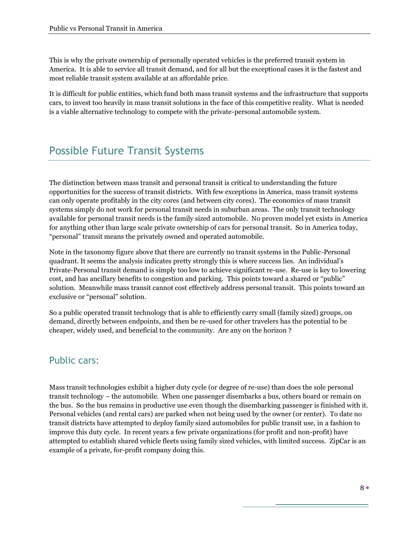This is why the private ownership of personally operated vehicles is the preferred transit system in America. It is able to service all transit demand, and for all but the exceptional cases it is the fastest and most reliable transit system available at an affordable price.

It is difficult for public entities, which fund both mass transit systems and the infrastructure that supports cars, to invest too heavily in mass transit solutions in the face of this competitive reality. What is needed is a viable alternative technology to compete with the private-personal automobile system.

### Possible Future Transit Systems

The distinction between mass transit and personal transit is critical to understanding the future opportunities for the success of transit districts. With few exceptions in America, mass transit systems can only operate profitably in the city cores (and between city cores). The economics of mass transit systems simply do not work for personal transit needs in suburban areas. The only transit technology available for personal transit needs is the family sized automobile. No proven model yet exists in America for anything other than large scale private ownership of cars for personal transit. So in America today, "personal" transit means the privately owned and operated automobile.

Note in the taxonomy figure above that there are currently no transit systems in the Public-Personal quadrant. It seems the analysis indicates pretty strongly this is where success lies. An individual's Private-Personal transit demand is simply too low to achieve significant re-use. Re-use is key to lowering cost, and has ancillary benefits to congestion and parking. This points toward a shared or "public" solution. Meanwhile mass transit cannot cost effectively address personal transit. This points toward an exclusive or "personal" solution.

So a public operated transit technology that is able to efficiently carry small (family sized) groups, on demand, directly between endpoints, and then be re-used for other travelers has the potential to be cheaper, widely used, and beneficial to the community. Are any on the horizon ?

#### Public cars:

Mass transit technologies exhibit a higher duty cycle (or degree of re-use) than does the sole personal transit technology – the automobile. When one passenger disembarks a bus, others board or remain on the bus. So the bus remains in productive use even though the disembarking passenger is finished with it. Personal vehicles (and rental cars) are parked when not being used by the owner (or renter). To date no transit districts have attempted to deploy family sized automobiles for public transit use, in a fashion to improve this duty cycle. In recent years a few private organizations (for profit and non-profit) have attempted to establish shared vehicle fleets using family sized vehicles, with limited success. ZipCar is an example of a private, for-profit company doing this.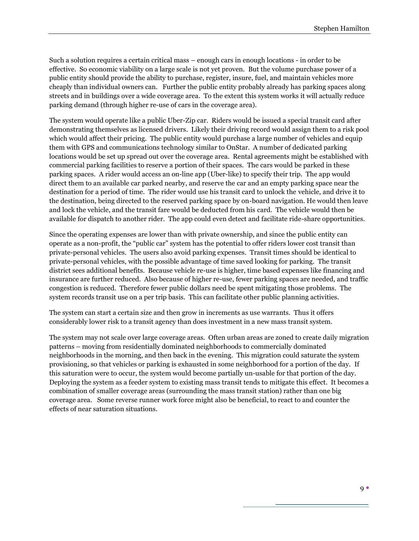Such a solution requires a certain critical mass – enough cars in enough locations - in order to be effective. So economic viability on a large scale is not yet proven. But the volume purchase power of a public entity should provide the ability to purchase, register, insure, fuel, and maintain vehicles more cheaply than individual owners can. Further the public entity probably already has parking spaces along streets and in buildings over a wide coverage area. To the extent this system works it will actually reduce parking demand (through higher re-use of cars in the coverage area).

The system would operate like a public Uber-Zip car. Riders would be issued a special transit card after demonstrating themselves as licensed drivers. Likely their driving record would assign them to a risk pool which would affect their pricing. The public entity would purchase a large number of vehicles and equip them with GPS and communications technology similar to OnStar. A number of dedicated parking locations would be set up spread out over the coverage area. Rental agreements might be established with commercial parking facilities to reserve a portion of their spaces. The cars would be parked in these parking spaces. A rider would access an on-line app (Uber-like) to specify their trip. The app would direct them to an available car parked nearby, and reserve the car and an empty parking space near the destination for a period of time. The rider would use his transit card to unlock the vehicle, and drive it to the destination, being directed to the reserved parking space by on-board navigation. He would then leave and lock the vehicle, and the transit fare would be deducted from his card. The vehicle would then be available for dispatch to another rider. The app could even detect and facilitate ride-share opportunities.

Since the operating expenses are lower than with private ownership, and since the public entity can operate as a non-profit, the "public car" system has the potential to offer riders lower cost transit than private-personal vehicles. The users also avoid parking expenses. Transit times should be identical to private-personal vehicles, with the possible advantage of time saved looking for parking. The transit district sees additional benefits. Because vehicle re-use is higher, time based expenses like financing and insurance are further reduced. Also because of higher re-use, fewer parking spaces are needed, and traffic congestion is reduced. Therefore fewer public dollars need be spent mitigating those problems. The system records transit use on a per trip basis. This can facilitate other public planning activities.

The system can start a certain size and then grow in increments as use warrants. Thus it offers considerably lower risk to a transit agency than does investment in a new mass transit system.

The system may not scale over large coverage areas. Often urban areas are zoned to create daily migration patterns – moving from residentially dominated neighborhoods to commercially dominated neighborhoods in the morning, and then back in the evening. This migration could saturate the system provisioning, so that vehicles or parking is exhausted in some neighborhood for a portion of the day. If this saturation were to occur, the system would become partially un-usable for that portion of the day. Deploying the system as a feeder system to existing mass transit tends to mitigate this effect. It becomes a combination of smaller coverage areas (surrounding the mass transit station) rather than one big coverage area. Some reverse runner work force might also be beneficial, to react to and counter the effects of near saturation situations.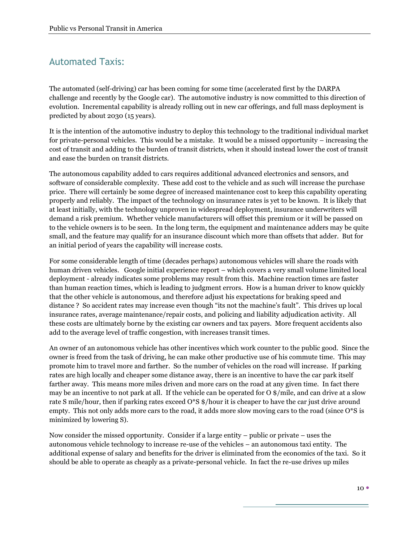#### Automated Taxis:

The automated (self-driving) car has been coming for some time (accelerated first by the DARPA challenge and recently by the Google car). The automotive industry is now committed to this direction of evolution. Incremental capability is already rolling out in new car offerings, and full mass deployment is predicted by about 2030 (15 years).

It is the intention of the automotive industry to deploy this technology to the traditional individual market for private-personal vehicles. This would be a mistake. It would be a missed opportunity – increasing the cost of transit and adding to the burden of transit districts, when it should instead lower the cost of transit and ease the burden on transit districts.

The autonomous capability added to cars requires additional advanced electronics and sensors, and software of considerable complexity. These add cost to the vehicle and as such will increase the purchase price. There will certainly be some degree of increased maintenance cost to keep this capability operating properly and reliably. The impact of the technology on insurance rates is yet to be known. It is likely that at least initially, with the technology unproven in widespread deployment, insurance underwriters will demand a risk premium. Whether vehicle manufacturers will offset this premium or it will be passed on to the vehicle owners is to be seen. In the long term, the equipment and maintenance adders may be quite small, and the feature may qualify for an insurance discount which more than offsets that adder. But for an initial period of years the capability will increase costs.

For some considerable length of time (decades perhaps) autonomous vehicles will share the roads with human driven vehicles. Google initial experience report – which covers a very small volume limited local deployment - already indicates some problems may result from this. Machine reaction times are faster than human reaction times, which is leading to judgment errors. How is a human driver to know quickly that the other vehicle is autonomous, and therefore adjust his expectations for braking speed and distance ? So accident rates may increase even though "its not the machine's fault". This drives up local insurance rates, average maintenance/repair costs, and policing and liability adjudication activity. All these costs are ultimately borne by the existing car owners and tax payers. More frequent accidents also add to the average level of traffic congestion, with increases transit times.

An owner of an autonomous vehicle has other incentives which work counter to the public good. Since the owner is freed from the task of driving, he can make other productive use of his commute time. This may promote him to travel more and farther. So the number of vehicles on the road will increase. If parking rates are high locally and cheaper some distance away, there is an incentive to have the car park itself farther away. This means more miles driven and more cars on the road at any given time. In fact there may be an incentive to not park at all. If the vehicle can be operated for O \$/mile, and can drive at a slow rate S mile/hour, then if parking rates exceed O\*S \$/hour it is cheaper to have the car just drive around empty. This not only adds more cars to the road, it adds more slow moving cars to the road (since  $O^*S$  is minimized by lowering S).

Now consider the missed opportunity. Consider if a large entity – public or private – uses the autonomous vehicle technology to increase re-use of the vehicles – an autonomous taxi entity. The additional expense of salary and benefits for the driver is eliminated from the economics of the taxi. So it should be able to operate as cheaply as a private-personal vehicle. In fact the re-use drives up miles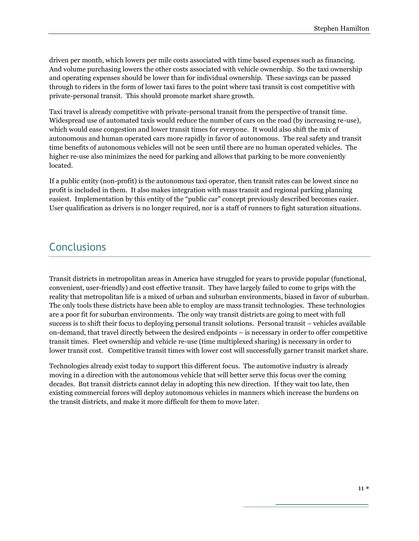driven per month, which lowers per mile costs associated with time based expenses such as financing. And volume purchasing lowers the other costs associated with vehicle ownership. So the taxi ownership and operating expenses should be lower than for individual ownership. These savings can be passed through to riders in the form of lower taxi fares to the point where taxi transit is cost competitive with private-personal transit. This should promote market share growth.

Taxi travel is already competitive with private-personal transit from the perspective of transit time. Widespread use of automated taxis would reduce the number of cars on the road (by increasing re-use), which would ease congestion and lower transit times for everyone. It would also shift the mix of autonomous and human operated cars more rapidly in favor of autonomous. The real safety and transit time benefits of autonomous vehicles will not be seen until there are no human operated vehicles. The higher re-use also minimizes the need for parking and allows that parking to be more conveniently located.

If a public entity (non-profit) is the autonomous taxi operator, then transit rates can be lowest since no profit is included in them. It also makes integration with mass transit and regional parking planning easiest. Implementation by this entity of the "public car" concept previously described becomes easier. User qualification as drivers is no longer required, nor is a staff of runners to fight saturation situations.

#### **Conclusions**

Transit districts in metropolitan areas in America have struggled for years to provide popular (functional, convenient, user-friendly) and cost effective transit. They have largely failed to come to grips with the reality that metropolitan life is a mixed of urban and suburban environments, biased in favor of suburban. The only tools these districts have been able to employ are mass transit technologies. These technologies are a poor fit for suburban environments. The only way transit districts are going to meet with full success is to shift their focus to deploying personal transit solutions. Personal transit – vehicles available on-demand, that travel directly between the desired endpoints – is necessary in order to offer competitive transit times. Fleet ownership and vehicle re-use (time multiplexed sharing) is necessary in order to lower transit cost. Competitive transit times with lower cost will successfully garner transit market share.

Technologies already exist today to support this different focus. The automotive industry is already moving in a direction with the autonomous vehicle that will better serve this focus over the coming decades. But transit districts cannot delay in adopting this new direction. If they wait too late, then existing commercial forces will deploy autonomous vehicles in manners which increase the burdens on the transit districts, and make it more difficult for them to move later.